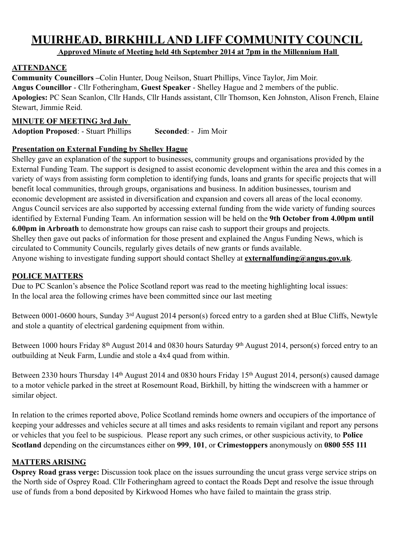# **MUIRHEAD, BIRKHILL AND LIFF COMMUNITY COUNCIL**

 **Approved Minute of Meeting held 4th September 2014 at 7pm in the Millennium Hall** 

### **ATTENDANCE**

**Community Councillors –**Colin Hunter, Doug Neilson, Stuart Phillips, Vince Taylor, Jim Moir. **Angus Councillor** - Cllr Fotheringham, **Guest Speaker** - Shelley Hague and 2 members of the public. **Apologies:** PC Sean Scanlon, Cllr Hands, Cllr Hands assistant, Cllr Thomson, Ken Johnston, Alison French, Elaine Stewart, Jimmie Reid.

### **MINUTE OF MEETING 3rd July**

**Adoption Proposed**: - Stuart Phillips **Seconded**: - Jim Moir

#### **Presentation on External Funding by Shelley Hague**

Shelley gave an explanation of the support to businesses, community groups and organisations provided by the External Funding Team. The support is designed to assist economic development within the area and this comes in a variety of ways from assisting form completion to identifying funds, loans and grants for specific projects that will benefit local communities, through groups, organisations and business. In addition businesses, tourism and economic development are assisted in diversification and expansion and covers all areas of the local economy. Angus Council services are also supported by accessing external funding from the wide variety of funding sources identified by External Funding Team. An information session will be held on the **9th October from 4.00pm until 6.00pm in Arbroath** to demonstrate how groups can raise cash to support their groups and projects. Shelley then gave out packs of information for those present and explained the Angus Funding News, which is circulated to Community Councils, regularly gives details of new grants or funds available. Anyone wishing to investigate funding support should contact Shelley at **[externalfunding@angus.gov.uk](mailto:externalfunding@angus.gov.uk)**.

#### **POLICE MATTERS**

Due to PC Scanlon's absence the Police Scotland report was read to the meeting highlighting local issues: In the local area the following crimes have been committed since our last meeting

Between 0001-0600 hours, Sunday 3<sup>rd</sup> August 2014 person(s) forced entry to a garden shed at Blue Cliffs, Newtyle and stole a quantity of electrical gardening equipment from within.

Between 1000 hours Friday 8<sup>th</sup> August 2014 and 0830 hours Saturday 9<sup>th</sup> August 2014, person(s) forced entry to an outbuilding at Neuk Farm, Lundie and stole a 4x4 quad from within.

Between 2330 hours Thursday 14<sup>th</sup> August 2014 and 0830 hours Friday 15<sup>th</sup> August 2014, person(s) caused damage to a motor vehicle parked in the street at Rosemount Road, Birkhill, by hitting the windscreen with a hammer or similar object.

In relation to the crimes reported above, Police Scotland reminds home owners and occupiers of the importance of keeping your addresses and vehicles secure at all times and asks residents to remain vigilant and report any persons or vehicles that you feel to be suspicious. Please report any such crimes, or other suspicious activity, to **Police Scotland** depending on the circumstances either on **999**, **101**, or **Crimestoppers** anonymously on **0800 555 111**

## **MATTERS ARISING**

**Osprey Road grass verge:** Discussion took place on the issues surrounding the uncut grass verge service strips on the North side of Osprey Road. Cllr Fotheringham agreed to contact the Roads Dept and resolve the issue through use of funds from a bond deposited by Kirkwood Homes who have failed to maintain the grass strip.